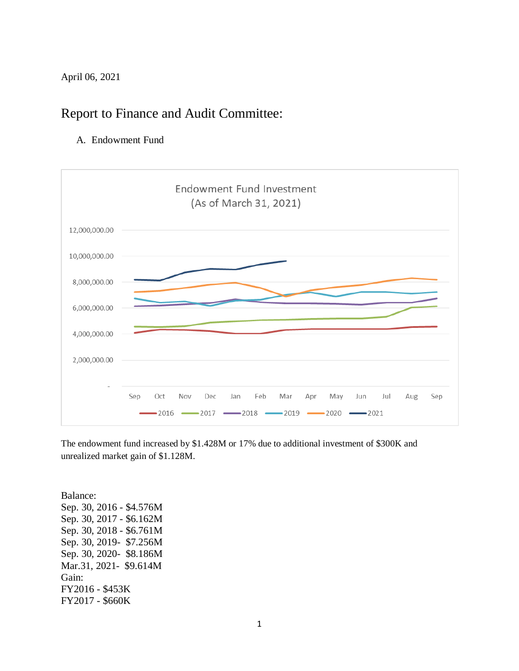April 06, 2021

## Report to Finance and Audit Committee:

A. Endowment Fund



The endowment fund increased by \$1.428M or 17% due to additional investment of \$300K and unrealized market gain of \$1.128M.

Balance: Sep. 30, 2016 - \$4.576M Sep. 30, 2017 - \$6.162M Sep. 30, 2018 - \$6.761M Sep. 30, 2019- \$7.256M Sep. 30, 2020- \$8.186M Mar.31, 2021- \$9.614M Gain: FY2016 - \$453K FY2017 - \$660K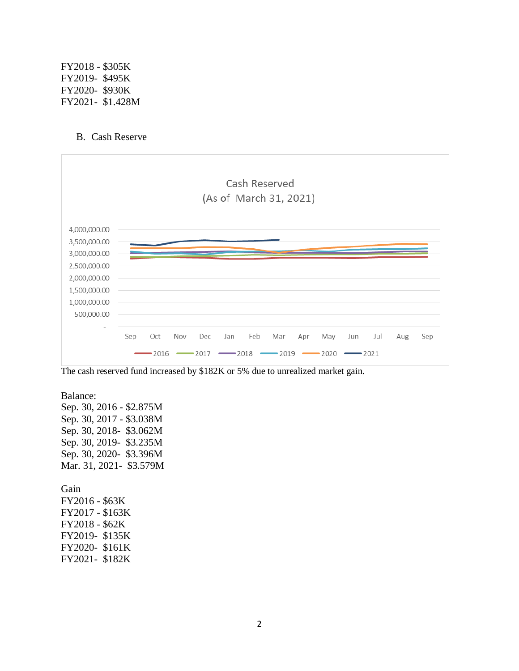FY2018 - \$305K FY2019- \$495K FY2020- \$930K FY2021- \$1.428M

## B. Cash Reserve



The cash reserved fund increased by \$182K or 5% due to unrealized market gain.

Balance: Sep. 30, 2016 - \$2.875M Sep. 30, 2017 - \$3.038M Sep. 30, 2018- \$3.062M Sep. 30, 2019- \$3.235M Sep. 30, 2020- \$3.396M Mar. 31, 2021- \$3.579M Gain FY2016 - \$63K

FY2017 - \$163K FY2018 - \$62K FY2019- \$135K FY2020- \$161K FY2021- \$182K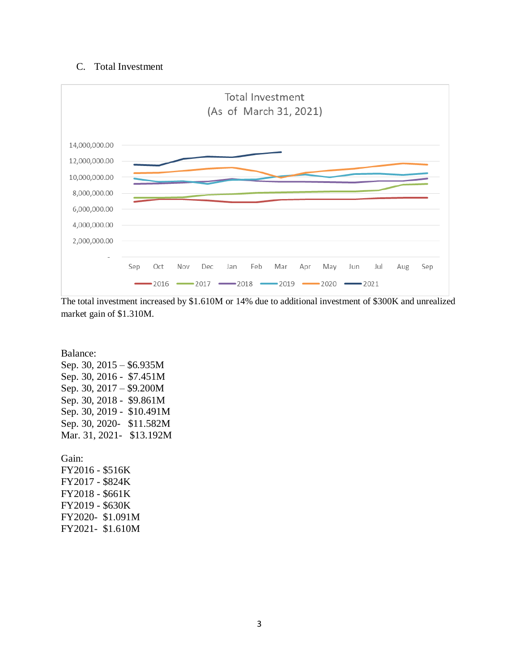## C. Total Investment



The total investment increased by \$1.610M or 14% due to additional investment of \$300K and unrealized market gain of \$1.310M.

Balance: Sep. 30, 2015 – \$6.935M Sep. 30, 2016 - \$7.451M Sep. 30, 2017 – \$9.200M Sep. 30, 2018 - \$9.861M Sep. 30, 2019 - \$10.491M Sep. 30, 2020- \$11.582M Mar. 31, 2021- \$13.192M

Gain: FY2016 - \$516K FY2017 - \$824K FY2018 - \$661K FY2019 - \$630K FY2020- \$1.091M FY2021- \$1.610M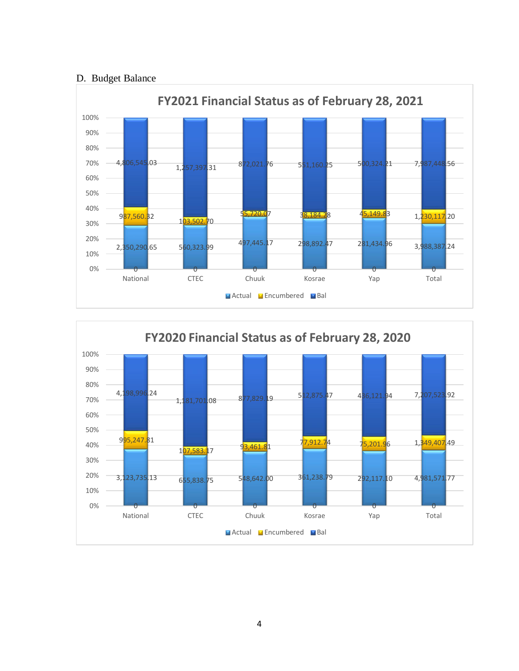## D. Budget Balance



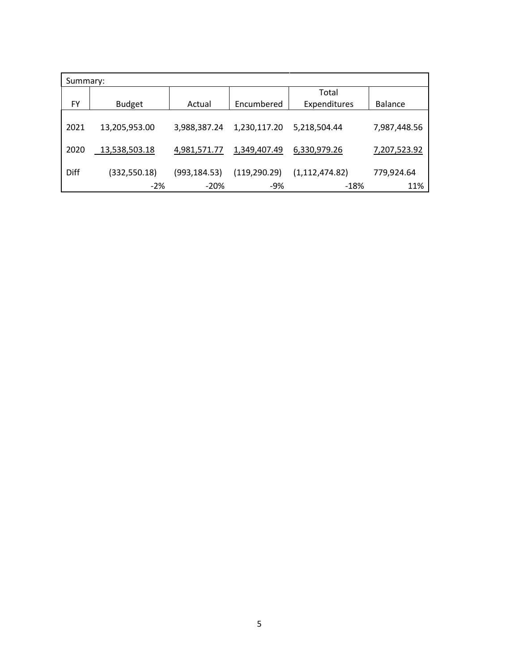| Summary: |               |               |               |                  |                |  |  |  |
|----------|---------------|---------------|---------------|------------------|----------------|--|--|--|
|          |               |               |               | Total            |                |  |  |  |
| FY       | <b>Budget</b> | Actual        | Encumbered    | Expenditures     | <b>Balance</b> |  |  |  |
|          |               |               |               |                  |                |  |  |  |
| 2021     | 13,205,953.00 | 3,988,387.24  | 1,230,117.20  | 5,218,504.44     | 7,987,448.56   |  |  |  |
|          |               |               |               |                  |                |  |  |  |
| 2020     | 13,538,503.18 | 4,981,571.77  | 1,349,407.49  | 6,330,979.26     | 7,207,523.92   |  |  |  |
|          |               |               |               |                  |                |  |  |  |
| Diff     | (332, 550.18) | (993, 184.53) | (119, 290.29) | (1, 112, 474.82) | 779,924.64     |  |  |  |
|          | $-2%$         | $-20%$        | -9%           | -18%             | 11%            |  |  |  |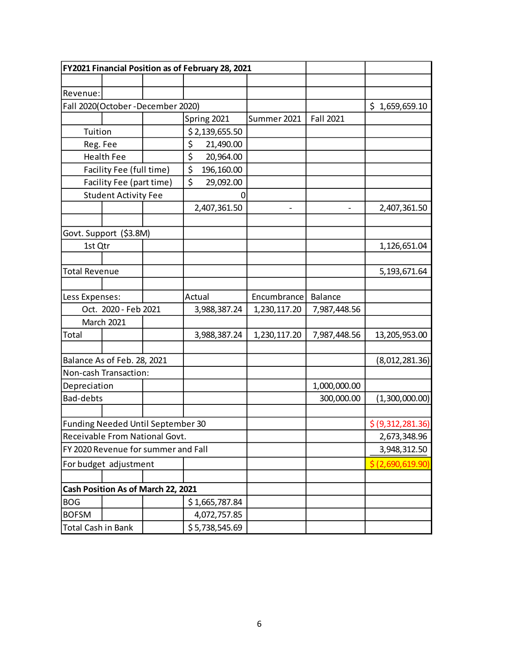|                                     |                                    |    |           | FY2021 Financial Position as of February 28, 2021 |                              |                |                   |
|-------------------------------------|------------------------------------|----|-----------|---------------------------------------------------|------------------------------|----------------|-------------------|
|                                     |                                    |    |           |                                                   |                              |                |                   |
| Revenue:                            |                                    |    |           |                                                   |                              |                |                   |
|                                     | Fall 2020(October-December 2020)   |    |           |                                                   |                              |                | \$1,659,659.10    |
|                                     |                                    |    |           | Spring 2021                                       | Summer 2021                  | Fall 2021      |                   |
| Tuition                             |                                    |    |           | \$2,139,655.50                                    |                              |                |                   |
| Reg. Fee                            |                                    |    | \$        | 21,490.00                                         |                              |                |                   |
|                                     | <b>Health Fee</b>                  |    | \$        | 20,964.00                                         |                              |                |                   |
|                                     | Facility Fee (full time)           |    | \$        | 196,160.00                                        |                              |                |                   |
| Facility Fee (part time)            |                                    | \$ | 29,092.00 |                                                   |                              |                |                   |
| <b>Student Activity Fee</b>         |                                    |    |           | 0                                                 |                              |                |                   |
|                                     |                                    |    |           | 2,407,361.50                                      | $\qquad \qquad \blacksquare$ |                | 2,407,361.50      |
|                                     |                                    |    |           |                                                   |                              |                |                   |
|                                     | Govt. Support (\$3.8M)             |    |           |                                                   |                              |                |                   |
| 1st Qtr                             |                                    |    |           |                                                   |                              |                | 1,126,651.04      |
|                                     |                                    |    |           |                                                   |                              |                |                   |
| <b>Total Revenue</b>                |                                    |    |           |                                                   |                              |                | 5,193,671.64      |
|                                     |                                    |    |           |                                                   |                              |                |                   |
| Less Expenses:                      |                                    |    | Actual    |                                                   | Encumbrance                  | <b>Balance</b> |                   |
| Oct. 2020 - Feb 2021                |                                    |    |           | 3,988,387.24                                      | 1,230,117.20                 | 7,987,448.56   |                   |
|                                     | March 2021                         |    |           |                                                   |                              |                |                   |
| Total                               |                                    |    |           | 3,988,387.24                                      | 1,230,117.20                 | 7,987,448.56   | 13,205,953.00     |
|                                     |                                    |    |           |                                                   |                              |                |                   |
| Balance As of Feb. 28, 2021         |                                    |    |           |                                                   |                              | (8,012,281.36) |                   |
|                                     | Non-cash Transaction:              |    |           |                                                   |                              |                |                   |
| Depreciation                        |                                    |    |           |                                                   |                              | 1,000,000.00   |                   |
| Bad-debts                           |                                    |    |           |                                                   | 300,000.00                   | (1,300,000.00) |                   |
|                                     |                                    |    |           |                                                   |                              |                |                   |
|                                     | Funding Needed Until September 30  |    |           |                                                   |                              |                | \$ (9,312,281.36) |
| Receivable From National Govt.      |                                    |    |           |                                                   |                              |                | 2,673,348.96      |
| FY 2020 Revenue for summer and Fall |                                    |    |           |                                                   |                              |                | 3,948,312.50      |
| For budget adjustment               |                                    |    |           |                                                   |                              |                | \$ (2,690,619.90) |
|                                     |                                    |    |           |                                                   |                              |                |                   |
|                                     | Cash Position As of March 22, 2021 |    |           |                                                   |                              |                |                   |
| <b>BOG</b>                          |                                    |    |           | \$1,665,787.84                                    |                              |                |                   |
| <b>BOFSM</b>                        |                                    |    |           | 4,072,757.85                                      |                              |                |                   |
| Total Cash in Bank                  |                                    |    |           | \$5,738,545.69                                    |                              |                |                   |